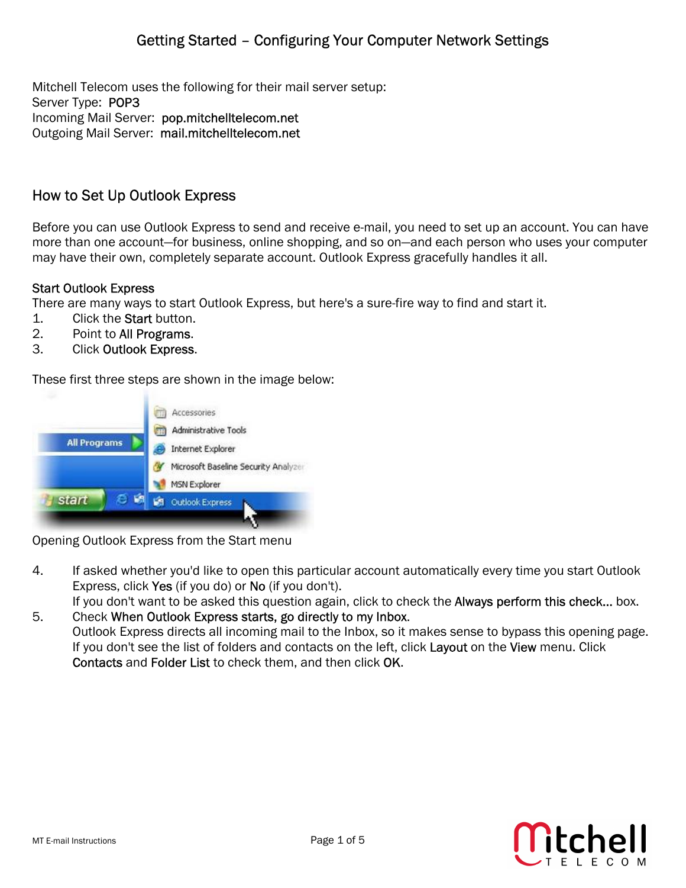Mitchell Telecom uses the following for their mail server setup: Server Type: POP3 Incoming Mail Server: pop.mitchelltelecom.net Outgoing Mail Server: mail.mitchelltelecom.net

# How to Set Up Outlook Express

Before you can use Outlook Express to send and receive e-mail, you need to set up an account. You can have more than one account—for business, online shopping, and so on—and each person who uses your computer may have their own, completely separate account. Outlook Express gracefully handles it all.

### Start Outlook Express

There are many ways to start Outlook Express, but here's a sure-fire way to find and start it.

- 1. Click the Start button.
- 2. Point to All Programs.
- 3. Click Outlook Express.

These first three steps are shown in the image below:



Opening Outlook Express from the Start menu

- 4. If asked whether you'd like to open this particular account automatically every time you start Outlook Express, click Yes (if you do) or No (if you don't). If you don't want to be asked this question again, click to check the **Always perform this check...** box.
- 5. Check When Outlook Express starts, go directly to my Inbox. Outlook Express directs all incoming mail to the Inbox, so it makes sense to bypass this opening page. If you don't see the list of folders and contacts on the left, click Layout on the View menu. Click Contacts and Folder List to check them, and then click OK.

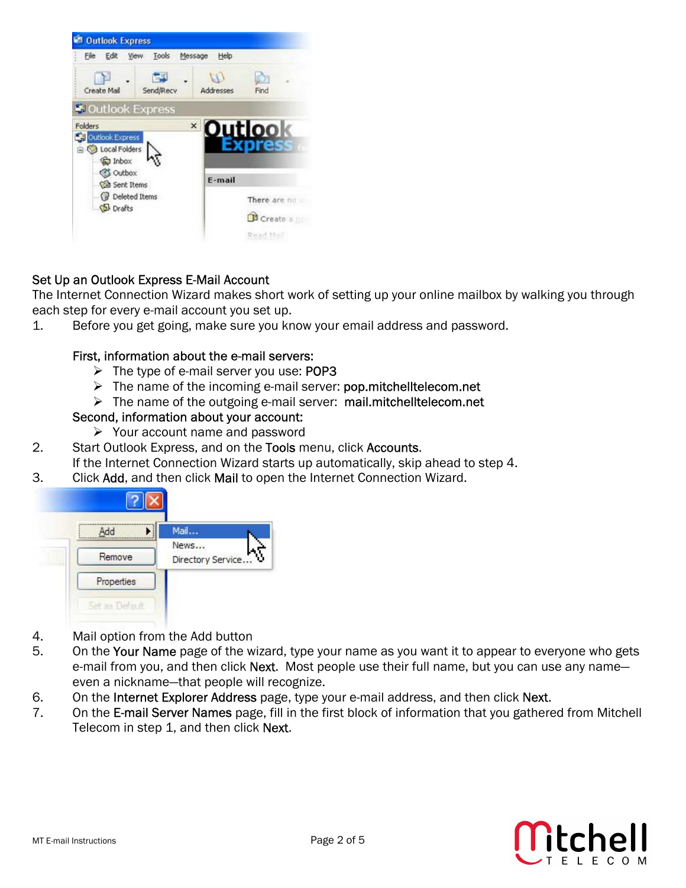

## Set Up an Outlook Express E-Mail Account

The Internet Connection Wizard makes short work of setting up your online mailbox by walking you through each step for every e-mail account you set up.

1. Before you get going, make sure you know your email address and password.

#### First, information about the e-mail servers:

- $\triangleright$  The type of e-mail server you use: POP3
- $\triangleright$  The name of the incoming e-mail server: pop.mitchelltelecom.net
- ¾ The name of the outgoing e-mail server: mail.mitchelltelecom.net

### Second, information about your account:

- $\triangleright$  Your account name and password
- 2. Start Outlook Express, and on the Tools menu, click Accounts. If the Internet Connection Wizard starts up automatically, skip ahead to step 4.
- 3. Click Add, and then click Mail to open the Internet Connection Wizard.



- 4. Mail option from the Add button
- 5. On the Your Name page of the wizard, type your name as you want it to appear to everyone who gets e-mail from you, and then click **Next**. Most people use their full name, but you can use any name even a nickname—that people will recognize.
- 6. On the Internet Explorer Address page, type your e-mail address, and then click Next.
- 7. On the E-mail Server Names page, fill in the first block of information that you gathered from Mitchell Telecom in step 1, and then click Next.

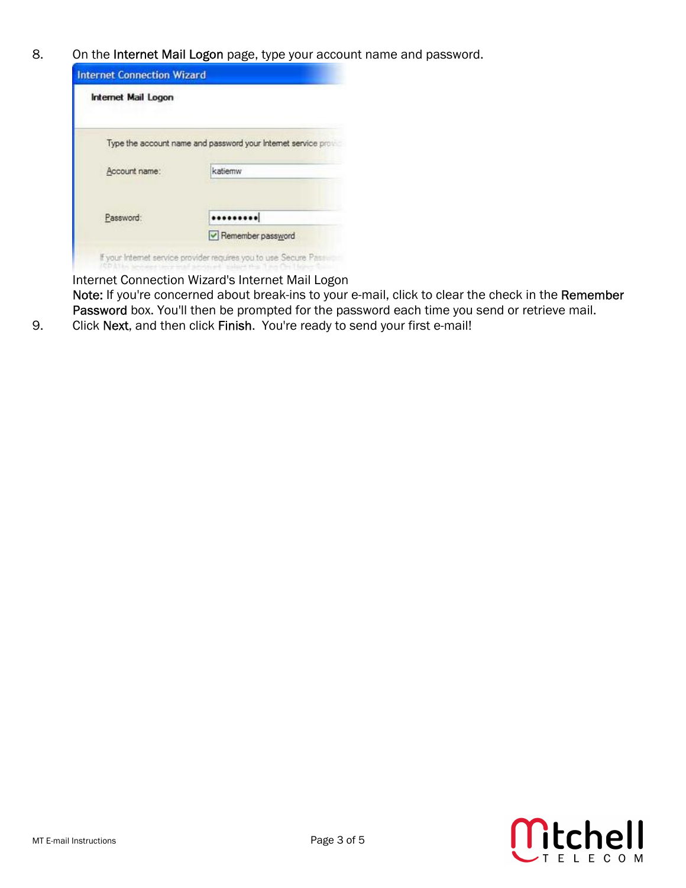8. On the Internet Mail Logon page, type your account name and password.

| <b>Internet Mail Logon</b>                                    |                   |
|---------------------------------------------------------------|-------------------|
| Type the account name and password your Internet service pro- |                   |
| Account name:                                                 | katiemw           |
| Password:                                                     |                   |
|                                                               | Remember password |

Internet Connection Wizard's Internet Mail Logon Note: If you're concerned about break-ins to your e-mail, click to clear the check in the Remember Password box. You'll then be prompted for the password each time you send or retrieve mail.

9. Click Next, and then click Finish. You're ready to send your first e-mail!

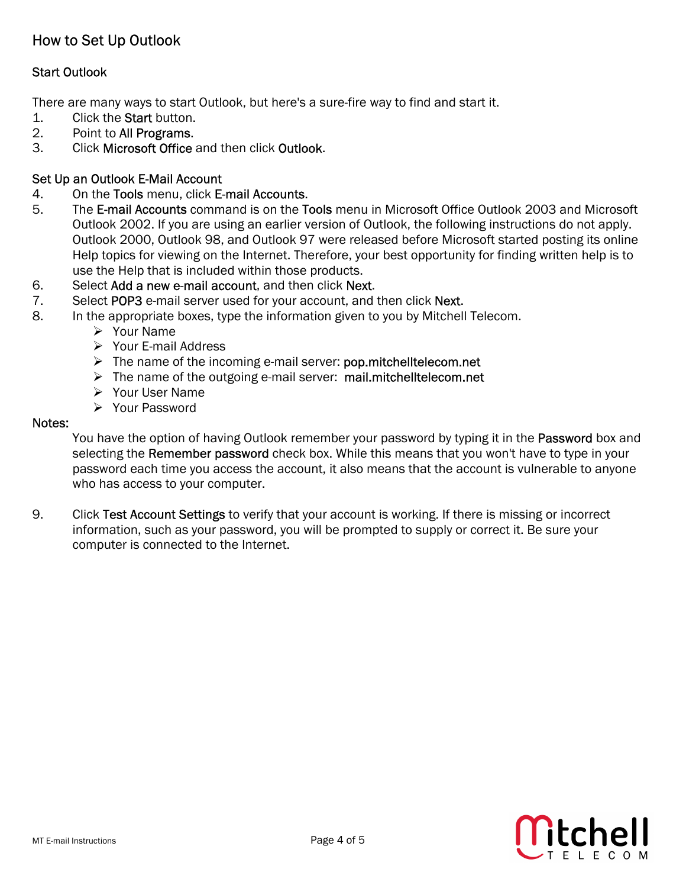# How to Set Up Outlook

## Start Outlook

There are many ways to start Outlook, but here's a sure-fire way to find and start it.

- 1. Click the Start button.
- 2. Point to All Programs.
- 3. Click Microsoft Office and then click Outlook.

#### Set Up an Outlook E-Mail Account

- 4. On the Tools menu, click E-mail Accounts.
- 5. The E-mail Accounts command is on the Tools menu in Microsoft Office Outlook 2003 and Microsoft Outlook 2002. If you are using an earlier version of Outlook, the following instructions do not apply. Outlook 2000, Outlook 98, and Outlook 97 were released before Microsoft started posting its online Help topics for viewing on the Internet. Therefore, your best opportunity for finding written help is to use the Help that is included within those products.
- 6. Select Add a new e-mail account, and then click Next.
- 7. Select POP3 e-mail server used for your account, and then click Next.
- 8. In the appropriate boxes, type the information given to you by Mitchell Telecom.
	- ¾ Your Name
	- $\triangleright$  Your E-mail Address
	- $\triangleright$  The name of the incoming e-mail server: pop.mitchelltelecom.net
	- ¾ The name of the outgoing e-mail server: mail.mitchelltelecom.net
	- ¾ Your User Name
	- ¾ Your Password

#### Notes:

You have the option of having Outlook remember your password by typing it in the Password box and selecting the Remember password check box. While this means that you won't have to type in your password each time you access the account, it also means that the account is vulnerable to anyone who has access to your computer.

9. Click Test Account Settings to verify that your account is working. If there is missing or incorrect information, such as your password, you will be prompted to supply or correct it. Be sure your computer is connected to the Internet.